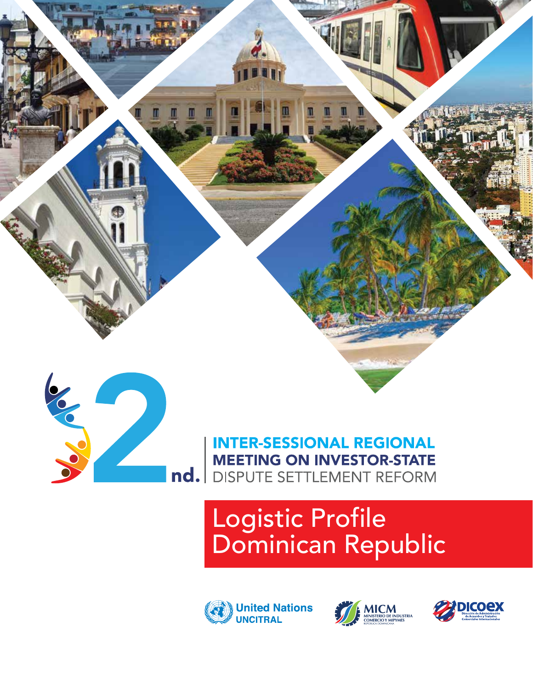



**INTER-SESSIONAL REGIONAL MEETING ON INVESTOR-STATE** nd. DISPUTE SETTLEMENT REFORM

# Logistic Profile Dominican Republic





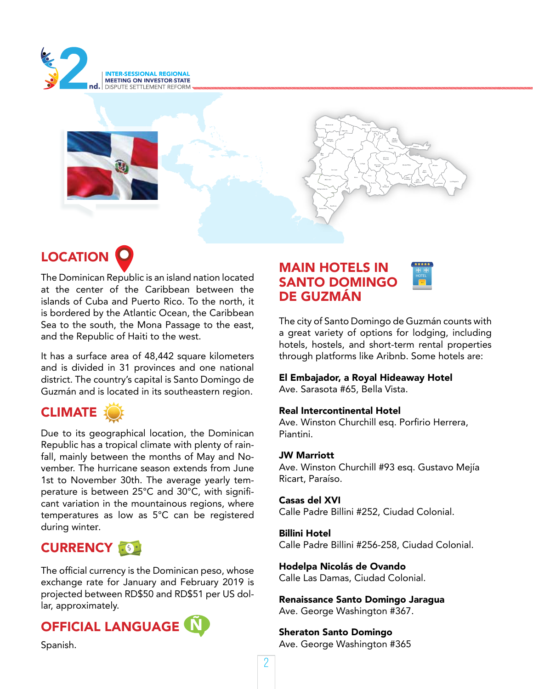



## **LOCATION**

The Dominican Republic is an island nation located at the center of the Caribbean between the islands of Cuba and Puerto Rico. To the north, it is bordered by the Atlantic Ocean, the Caribbean Sea to the south, the Mona Passage to the east, and the Republic of Haiti to the west.

It has a surface area of 48,442 square kilometers and is divided in 31 provinces and one national district. The country's capital is Santo Domingo de Guzmán and is located in its southeastern region.

## **CLIMATE**

Due to its geographical location, the Dominican Republic has a tropical climate with plenty of rainfall, mainly between the months of May and November. The hurricane season extends from June 1st to November 30th. The average yearly temperature is between 25°C and 30°C, with significant variation in the mountainous regions, where temperatures as low as 5°C can be registered during winter.

## CURRENCY **\$\$**

The official currency is the Dominican peso, whose exchange rate for January and February 2019 is projected between RD\$50 and RD\$51 per US dollar, approximately.

## OFFICIAL LANGUAGE

Spanish.

### MAIN HOTELS IN SANTO DOMINGO DE GUZMÁN

The city of Santo Domingo de Guzmán counts with a great variety of options for lodging, including hotels, hostels, and short-term rental properties through platforms like Aribnb. Some hotels are:

#### El Embajador, a Royal Hideaway Hotel

Ave. Sarasota #65, Bella Vista.

#### Real Intercontinental Hotel

Ave. Winston Churchill esq. Porfirio Herrera, Piantini.

#### JW Marriott

Ave. Winston Churchill #93 esq. Gustavo Mejía Ricart, Paraíso.

#### Casas del XVI

Calle Padre Billini #252, Ciudad Colonial.

#### Billini Hotel

Calle Padre Billini #256-258, Ciudad Colonial.

Hodelpa Nicolás de Ovando Calle Las Damas, Ciudad Colonial.

Renaissance Santo Domingo Jaragua Ave. George Washington #367.

Sheraton Santo Domingo Ave. George Washington #365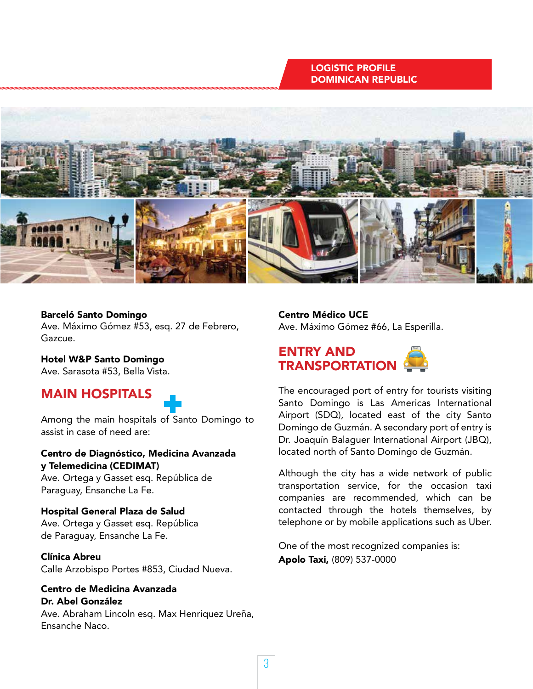#### LOGISTIC PROFILE DOMINICAN REPUBLIC



#### Barceló Santo Domingo

Ave. Máximo Gómez #53, esq. 27 de Febrero, Gazcue.

Hotel W&P Santo Domingo Ave. Sarasota #53, Bella Vista.

## MAIN HOSPITALS



Among the main hospitals of Santo Domingo to assist in case of need are:

Centro de Diagnóstico, Medicina Avanzada y Telemedicina (CEDIMAT)

Ave. Ortega y Gasset esq. República de Paraguay, Ensanche La Fe.

Hospital General Plaza de Salud Ave. Ortega y Gasset esq. República de Paraguay, Ensanche La Fe.

#### Clínica Abreu

Calle Arzobispo Portes #853, Ciudad Nueva.

#### Centro de Medicina Avanzada Dr. Abel González

Ave. Abraham Lincoln esq. Max Henriquez Ureña, Ensanche Naco.

Centro Médico UCE Ave. Máximo Gómez #66, La Esperilla.



The encouraged port of entry for tourists visiting Santo Domingo is Las Americas International Airport (SDQ), located east of the city Santo Domingo de Guzmán. A secondary port of entry is Dr. Joaquín Balaguer International Airport (JBQ), located north of Santo Domingo de Guzmán.

Although the city has a wide network of public transportation service, for the occasion taxi companies are recommended, which can be contacted through the hotels themselves, by telephone or by mobile applications such as Uber.

One of the most recognized companies is: Apolo Taxi, (809) 537-0000